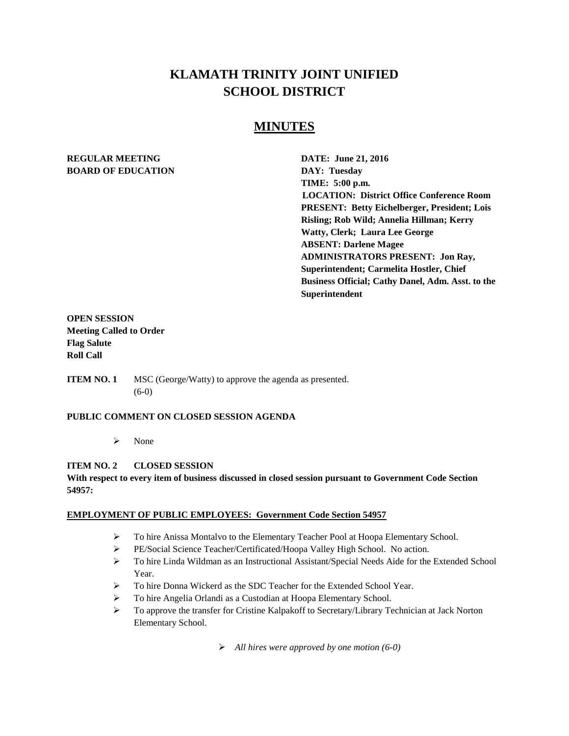# **KLAMATH TRINITY JOINT UNIFIED SCHOOL DISTRICT**

# **MINUTES**

## **REGULAR MEETING DATE: June 21, 2016 BOARD OF EDUCATION DAY: Tuesday**

**TIME: 5:00 p.m. LOCATION: District Office Conference Room PRESENT: Betty Eichelberger, President; Lois Risling; Rob Wild; Annelia Hillman; Kerry Watty, Clerk; Laura Lee George ABSENT: Darlene Magee ADMINISTRATORS PRESENT: Jon Ray, Superintendent; Carmelita Hostler, Chief Business Official; Cathy Danel, Adm. Asst. to the Superintendent**

## **OPEN SESSION Meeting Called to Order Flag Salute Roll Call**

**ITEM NO. 1** MSC (George/Watty) to approve the agenda as presented. (6-0)

## **PUBLIC COMMENT ON CLOSED SESSION AGENDA**

 $\triangleright$  None

## **ITEM NO. 2 CLOSED SESSION**

**With respect to every item of business discussed in closed session pursuant to Government Code Section 54957:**

## **EMPLOYMENT OF PUBLIC EMPLOYEES: Government Code Section 54957**

- To hire Anissa Montalvo to the Elementary Teacher Pool at Hoopa Elementary School.
- PE/Social Science Teacher/Certificated/Hoopa Valley High School. No action.
- To hire Linda Wildman as an Instructional Assistant/Special Needs Aide for the Extended School Year.
- $\triangleright$  To hire Donna Wickerd as the SDC Teacher for the Extended School Year.
- To hire Angelia Orlandi as a Custodian at Hoopa Elementary School.
- $\triangleright$  To approve the transfer for Cristine Kalpakoff to Secretary/Library Technician at Jack Norton Elementary School.

*All hires were approved by one motion (6-0)*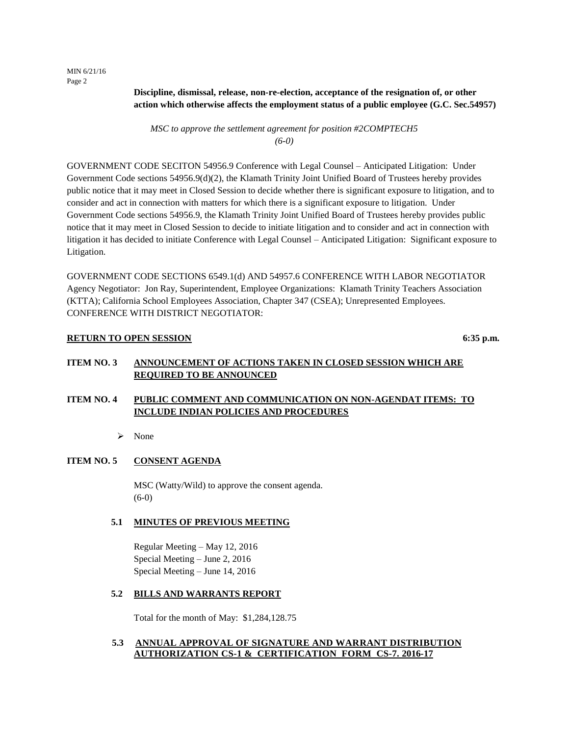MIN 6/21/16 Page 2

> **Discipline, dismissal, release, non-re-election, acceptance of the resignation of, or other action which otherwise affects the employment status of a public employee (G.C. Sec.54957)**

*MSC to approve the settlement agreement for position #2COMPTECH5 (6-0)*

GOVERNMENT CODE SECITON 54956.9 Conference with Legal Counsel – Anticipated Litigation: Under Government Code sections 54956.9(d)(2), the Klamath Trinity Joint Unified Board of Trustees hereby provides public notice that it may meet in Closed Session to decide whether there is significant exposure to litigation, and to consider and act in connection with matters for which there is a significant exposure to litigation. Under Government Code sections 54956.9, the Klamath Trinity Joint Unified Board of Trustees hereby provides public notice that it may meet in Closed Session to decide to initiate litigation and to consider and act in connection with litigation it has decided to initiate Conference with Legal Counsel – Anticipated Litigation: Significant exposure to Litigation.

GOVERNMENT CODE SECTIONS 6549.1(d) AND 54957.6 CONFERENCE WITH LABOR NEGOTIATOR Agency Negotiator: Jon Ray, Superintendent, Employee Organizations: Klamath Trinity Teachers Association (KTTA); California School Employees Association, Chapter 347 (CSEA); Unrepresented Employees. CONFERENCE WITH DISTRICT NEGOTIATOR:

#### **RETURN TO OPEN SESSION** 6:35 p.m.

## **ITEM NO. 3 ANNOUNCEMENT OF ACTIONS TAKEN IN CLOSED SESSION WHICH ARE REQUIRED TO BE ANNOUNCED**

## **ITEM NO. 4 PUBLIC COMMENT AND COMMUNICATION ON NON-AGENDAT ITEMS: TO INCLUDE INDIAN POLICIES AND PROCEDURES**

 $\triangleright$  None

## **ITEM NO. 5 CONSENT AGENDA**

MSC (Watty/Wild) to approve the consent agenda. (6-0)

#### **5.1 MINUTES OF PREVIOUS MEETING**

Regular Meeting – May 12, 2016 Special Meeting – June 2, 2016 Special Meeting – June 14, 2016

#### **5.2 BILLS AND WARRANTS REPORT**

Total for the month of May: \$1,284,128.75

## **5.3 ANNUAL APPROVAL OF SIGNATURE AND WARRANT DISTRIBUTION AUTHORIZATION CS-1 & CERTIFICATION FORM CS-7. 2016-17**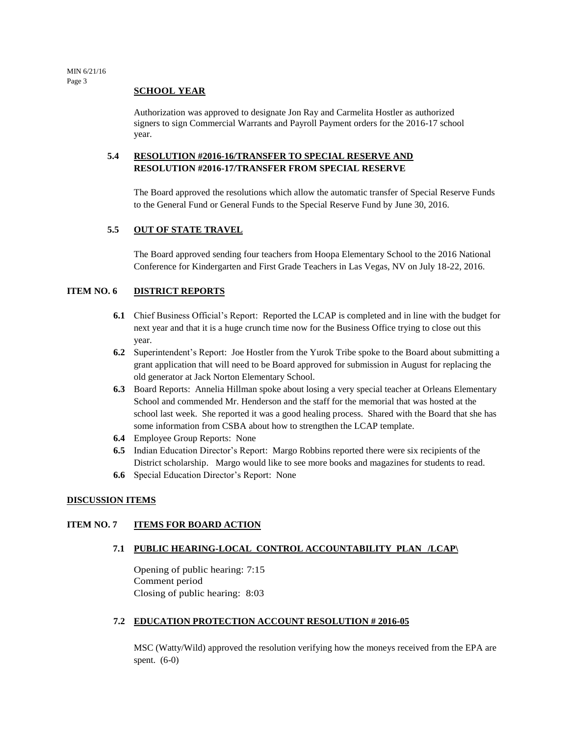#### **SCHOOL YEAR**

Authorization was approved to designate Jon Ray and Carmelita Hostler as authorized signers to sign Commercial Warrants and Payroll Payment orders for the 2016-17 school year.

## **5.4 RESOLUTION #2016-16/TRANSFER TO SPECIAL RESERVE AND RESOLUTION #2016-17/TRANSFER FROM SPECIAL RESERVE**

The Board approved the resolutions which allow the automatic transfer of Special Reserve Funds to the General Fund or General Funds to the Special Reserve Fund by June 30, 2016.

## **5.5 OUT OF STATE TRAVEL**

The Board approved sending four teachers from Hoopa Elementary School to the 2016 National Conference for Kindergarten and First Grade Teachers in Las Vegas, NV on July 18-22, 2016.

## **ITEM NO. 6 DISTRICT REPORTS**

- **6.1** Chief Business Official's Report: Reported the LCAP is completed and in line with the budget for next year and that it is a huge crunch time now for the Business Office trying to close out this year.
- **6.2** Superintendent's Report: Joe Hostler from the Yurok Tribe spoke to the Board about submitting a grant application that will need to be Board approved for submission in August for replacing the old generator at Jack Norton Elementary School.
- **6.3** Board Reports: Annelia Hillman spoke about losing a very special teacher at Orleans Elementary School and commended Mr. Henderson and the staff for the memorial that was hosted at the school last week. She reported it was a good healing process. Shared with the Board that she has some information from CSBA about how to strengthen the LCAP template.
- **6.4** Employee Group Reports: None
- **6.5** Indian Education Director's Report: Margo Robbins reported there were six recipients of the District scholarship. Margo would like to see more books and magazines for students to read.
- **6.6** Special Education Director's Report: None

#### **DISCUSSION ITEMS**

## **ITEM NO. 7 ITEMS FOR BOARD ACTION**

#### **7.1 PUBLIC HEARING-LOCAL CONTROL ACCOUNTABILITY PLAN /LCAP\**

Opening of public hearing: 7:15 Comment period Closing of public hearing: 8:03

## **7.2 EDUCATION PROTECTION ACCOUNT RESOLUTION # 2016-05**

MSC (Watty/Wild) approved the resolution verifying how the moneys received from the EPA are spent. (6-0)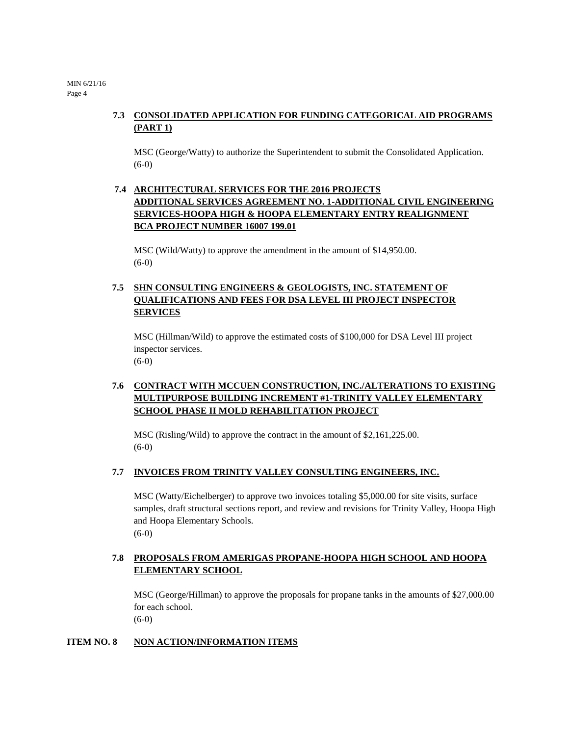MIN 6/21/16 Page 4

# **7.3 CONSOLIDATED APPLICATION FOR FUNDING CATEGORICAL AID PROGRAMS (PART 1)**

MSC (George/Watty) to authorize the Superintendent to submit the Consolidated Application. (6-0)

# **7.4 ARCHITECTURAL SERVICES FOR THE 2016 PROJECTS ADDITIONAL SERVICES AGREEMENT NO. 1-ADDITIONAL CIVIL ENGINEERING SERVICES-HOOPA HIGH & HOOPA ELEMENTARY ENTRY REALIGNMENT BCA PROJECT NUMBER 16007 199.01**

MSC (Wild/Watty) to approve the amendment in the amount of \$14,950.00. (6-0)

# **7.5 SHN CONSULTING ENGINEERS & GEOLOGISTS, INC. STATEMENT OF QUALIFICATIONS AND FEES FOR DSA LEVEL III PROJECT INSPECTOR SERVICES**

MSC (Hillman/Wild) to approve the estimated costs of \$100,000 for DSA Level III project inspector services. (6-0)

# **7.6 CONTRACT WITH MCCUEN CONSTRUCTION, INC./ALTERATIONS TO EXISTING MULTIPURPOSE BUILDING INCREMENT #1-TRINITY VALLEY ELEMENTARY SCHOOL PHASE II MOLD REHABILITATION PROJECT**

MSC (Risling/Wild) to approve the contract in the amount of \$2,161,225.00. (6-0)

## **7.7 INVOICES FROM TRINITY VALLEY CONSULTING ENGINEERS, INC.**

MSC (Watty/Eichelberger) to approve two invoices totaling \$5,000.00 for site visits, surface samples, draft structural sections report, and review and revisions for Trinity Valley, Hoopa High and Hoopa Elementary Schools. (6-0)

## **7.8 PROPOSALS FROM AMERIGAS PROPANE-HOOPA HIGH SCHOOL AND HOOPA ELEMENTARY SCHOOL**

MSC (George/Hillman) to approve the proposals for propane tanks in the amounts of \$27,000.00 for each school.

(6-0)

## **ITEM NO. 8 NON ACTION/INFORMATION ITEMS**